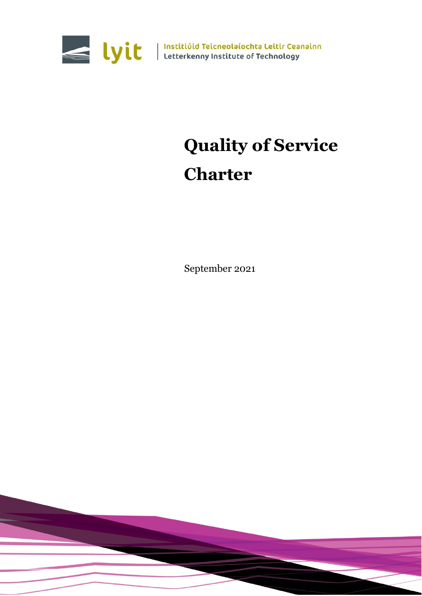

Wit | Institiúid Teicneolaíochta Leitir Ceanainn<br>Letterkenny Institute of Technology

# **Quality of Service Charter**

September 2021

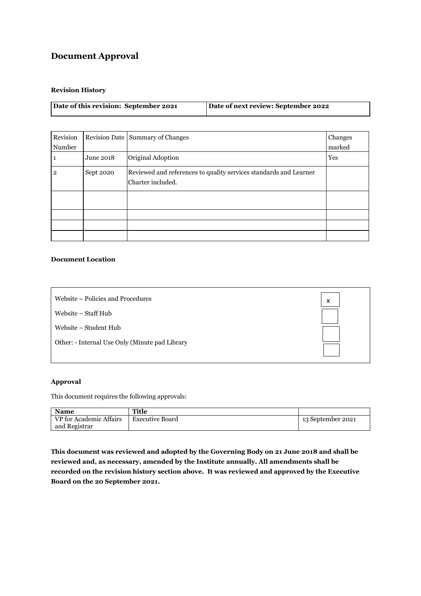# **Document Approval**

#### **Revision History**

| Date of this revision: September 2021 | Date of next review: September 2022 |
|---------------------------------------|-------------------------------------|
|                                       |                                     |
|                                       |                                     |

| Revision<br>Number |           | Revision Date Summary of Changes                                                       | Changes<br>marked |
|--------------------|-----------|----------------------------------------------------------------------------------------|-------------------|
|                    | June 2018 | Original Adoption                                                                      | Yes               |
| $\mathbf{2}$       | Sept 2020 | Reviewed and references to quality services standards and Learner<br>Charter included. |                   |
|                    |           |                                                                                        |                   |
|                    |           |                                                                                        |                   |
|                    |           |                                                                                        |                   |
|                    |           |                                                                                        |                   |

#### **Document Location**

| Website – Policies and Procedures              | X |
|------------------------------------------------|---|
| Website – Staff Hub                            |   |
| Website – Student Hub                          |   |
| Other: - Internal Use Only (Minute pad Library |   |
|                                                |   |

#### **Approval**

This document requires the following approvals:

| <b>Name</b>             | Title                  |                   |
|-------------------------|------------------------|-------------------|
| VP for Academic Affairs | <b>Executive Board</b> | 13 September 2021 |
| and Registrar           |                        |                   |

**This document was reviewed and adopted by the Governing Body on 21 June 2018 and shall be reviewed and, as necessary, amended by the Institute annually. All amendments shall be recorded on the revision history section above. It was reviewed and approved by the Executive Board on the 20 September 2021.**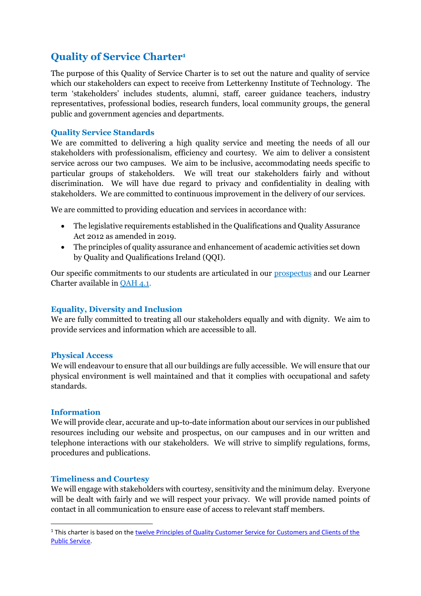# **Quality of Service Charter<sup>1</sup>**

The purpose of this Quality of Service Charter is to set out the nature and quality of service which our stakeholders can expect to receive from Letterkenny Institute of Technology. The term 'stakeholders' includes students, alumni, staff, career guidance teachers, industry representatives, professional bodies, research funders, local community groups, the general public and government agencies and departments.

# **Quality Service Standards**

We are committed to delivering a high quality service and meeting the needs of all our stakeholders with professionalism, efficiency and courtesy. We aim to deliver a consistent service across our two campuses. We aim to be inclusive, accommodating needs specific to particular groups of stakeholders. We will treat our stakeholders fairly and without discrimination. We will have due regard to privacy and confidentiality in dealing with stakeholders. We are committed to continuous improvement in the delivery of our services.

We are committed to providing education and services in accordance with:

- The legislative requirements established in the Qualifications and Quality Assurance Act 2012 as amended in 2019.
- The principles of quality assurance and enhancement of academic activities set down by Quality and Qualifications Ireland (QQI).

Our specific commitments to our students are articulated in our *prospectus* and our Learner Charter available in [QAH 4.1.](https://www.lyit.ie/About/Policies-Publications/Quality-Assurance)

## **Equality, Diversity and Inclusion**

We are fully committed to treating all our stakeholders equally and with dignity. We aim to provide services and information which are accessible to all.

## **Physical Access**

We will endeavour to ensure that all our buildings are fully accessible. We will ensure that our physical environment is well maintained and that it complies with occupational and safety standards.

## **Information**

1

We will provide clear, accurate and up-to-date information about our services in our published resources including our website and prospectus, on our campuses and in our written and telephone interactions with our stakeholders. We will strive to simplify regulations, forms, procedures and publications.

## **Timeliness and Courtesy**

We will engage with stakeholders with courtesy, sensitivity and the minimum delay. Everyone will be dealt with fairly and we will respect your privacy. We will provide named points of contact in all communication to ensure ease of access to relevant staff members.

<sup>1</sup> This charter is based on th[e twelve Principles of Quality Customer Service for Customers and Clients of the](https://www.gov.ie/en/policy-information/89dbad-guiding-principles-of-quality-customer-service/)  [Public Service.](https://www.gov.ie/en/policy-information/89dbad-guiding-principles-of-quality-customer-service/)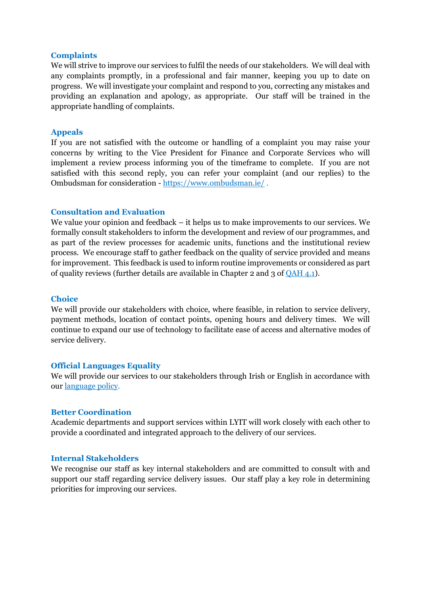#### **Complaints**

We will strive to improve our services to fulfil the needs of our stakeholders. We will deal with any complaints promptly, in a professional and fair manner, keeping you up to date on progress. We will investigate your complaint and respond to you, correcting any mistakes and providing an explanation and apology, as appropriate. Our staff will be trained in the appropriate handling of complaints.

## **Appeals**

If you are not satisfied with the outcome or handling of a complaint you may raise your concerns by writing to the Vice President for Finance and Corporate Services who will implement a review process informing you of the timeframe to complete. If you are not satisfied with this second reply, you can refer your complaint (and our replies) to the Ombudsman for consideration - <https://www.ombudsman.ie/> .

## **Consultation and Evaluation**

We value your opinion and feedback – it helps us to make improvements to our services. We formally consult stakeholders to inform the development and review of our programmes, and as part of the review processes for academic units, functions and the institutional review process. We encourage staff to gather feedback on the quality of service provided and means for improvement. This feedback is used to inform routine improvements or considered as part of quality reviews (further details are available in Chapter 2 and 3 of [QAH 4.1\)](https://www.lyit.ie/About/Policies-Publications/Quality-Assurance).

#### **Choice**

We will provide our stakeholders with choice, where feasible, in relation to service delivery, payment methods, location of contact points, opening hours and delivery times. We will continue to expand our use of technology to facilitate ease of access and alternative modes of service delivery.

## **Official Languages Equality**

We will provide our services to our stakeholders through Irish or English in accordance with our [language policy.](https://www.lyit.ie/About/Policies-Publications/Irish-at-LYIT)

## **Better Coordination**

Academic departments and support services within LYIT will work closely with each other to provide a coordinated and integrated approach to the delivery of our services.

## **Internal Stakeholders**

We recognise our staff as key internal stakeholders and are committed to consult with and support our staff regarding service delivery issues. Our staff play a key role in determining priorities for improving our services.